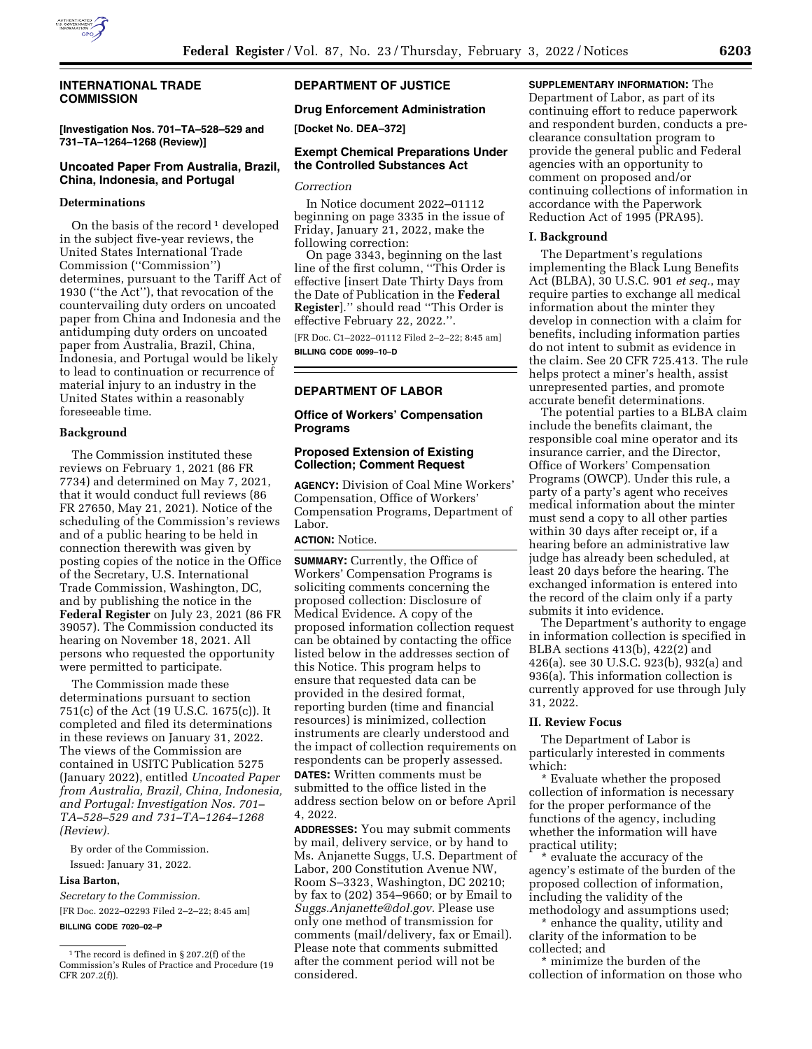

## **INTERNATIONAL TRADE COMMISSION**

**[Investigation Nos. 701–TA–528–529 and 731–TA–1264–1268 (Review)]** 

# **Uncoated Paper From Australia, Brazil, China, Indonesia, and Portugal**

### **Determinations**

On the basis of the record  $1$  developed in the subject five-year reviews, the United States International Trade Commission (''Commission'') determines, pursuant to the Tariff Act of 1930 (''the Act''), that revocation of the countervailing duty orders on uncoated paper from China and Indonesia and the antidumping duty orders on uncoated paper from Australia, Brazil, China, Indonesia, and Portugal would be likely to lead to continuation or recurrence of material injury to an industry in the United States within a reasonably foreseeable time.

#### **Background**

The Commission instituted these reviews on February 1, 2021 (86 FR 7734) and determined on May 7, 2021, that it would conduct full reviews (86 FR 27650, May 21, 2021). Notice of the scheduling of the Commission's reviews and of a public hearing to be held in connection therewith was given by posting copies of the notice in the Office of the Secretary, U.S. International Trade Commission, Washington, DC, and by publishing the notice in the **Federal Register** on July 23, 2021 (86 FR 39057). The Commission conducted its hearing on November 18, 2021. All persons who requested the opportunity were permitted to participate.

The Commission made these determinations pursuant to section 751(c) of the Act (19 U.S.C. 1675(c)). It completed and filed its determinations in these reviews on January 31, 2022. The views of the Commission are contained in USITC Publication 5275 (January 2022), entitled *Uncoated Paper from Australia, Brazil, China, Indonesia, and Portugal: Investigation Nos. 701– TA–528–529 and 731–TA–1264–1268 (Review).* 

By order of the Commission.

Issued: January 31, 2022.

#### **Lisa Barton,**

*Secretary to the Commission.*  [FR Doc. 2022–02293 Filed 2–2–22; 8:45 am]

### **BILLING CODE 7020–02–P**

# **DEPARTMENT OF JUSTICE**

## **Drug Enforcement Administration**

**[Docket No. DEA–372]** 

# **Exempt Chemical Preparations Under the Controlled Substances Act**

### *Correction*

In Notice document 2022–01112 beginning on page 3335 in the issue of Friday, January 21, 2022, make the following correction:

On page 3343, beginning on the last line of the first column, ''This Order is effective [insert Date Thirty Days from the Date of Publication in the **Federal Register**].'' should read ''This Order is effective February 22, 2022.''.

[FR Doc. C1–2022–01112 Filed 2–2–22; 8:45 am] **BILLING CODE 0099–10–D** 

## **DEPARTMENT OF LABOR**

## **Office of Workers' Compensation Programs**

#### **Proposed Extension of Existing Collection; Comment Request**

**AGENCY:** Division of Coal Mine Workers' Compensation, Office of Workers' Compensation Programs, Department of Labor.

# **ACTION:** Notice.

**SUMMARY:** Currently, the Office of Workers' Compensation Programs is soliciting comments concerning the proposed collection: Disclosure of Medical Evidence. A copy of the proposed information collection request can be obtained by contacting the office listed below in the addresses section of this Notice. This program helps to ensure that requested data can be provided in the desired format, reporting burden (time and financial resources) is minimized, collection instruments are clearly understood and the impact of collection requirements on respondents can be properly assessed. **DATES:** Written comments must be submitted to the office listed in the address section below on or before April 4, 2022.

**ADDRESSES:** You may submit comments by mail, delivery service, or by hand to Ms. Anjanette Suggs, U.S. Department of Labor, 200 Constitution Avenue NW, Room S–3323, Washington, DC 20210; by fax to (202) 354–9660; or by Email to *[Suggs.Anjanette@dol.gov.](mailto:Suggs.Anjanette@dol.gov)* Please use only one method of transmission for comments (mail/delivery, fax or Email). Please note that comments submitted after the comment period will not be considered.

## **SUPPLEMENTARY INFORMATION:** The Department of Labor, as part of its continuing effort to reduce paperwork and respondent burden, conducts a preclearance consultation program to provide the general public and Federal agencies with an opportunity to comment on proposed and/or continuing collections of information in accordance with the Paperwork Reduction Act of 1995 (PRA95).

#### **I. Background**

The Department's regulations implementing the Black Lung Benefits Act (BLBA), 30 U.S.C. 901 *et seq.*, may require parties to exchange all medical information about the minter they develop in connection with a claim for benefits, including information parties do not intent to submit as evidence in the claim. See 20 CFR 725.413. The rule helps protect a miner's health, assist unrepresented parties, and promote accurate benefit determinations.

The potential parties to a BLBA claim include the benefits claimant, the responsible coal mine operator and its insurance carrier, and the Director, Office of Workers' Compensation Programs (OWCP). Under this rule, a party of a party's agent who receives medical information about the minter must send a copy to all other parties within 30 days after receipt or, if a hearing before an administrative law judge has already been scheduled, at least 20 days before the hearing. The exchanged information is entered into the record of the claim only if a party submits it into evidence.

The Department's authority to engage in information collection is specified in BLBA sections 413(b), 422(2) and 426(a). see 30 U.S.C. 923(b), 932(a) and 936(a). This information collection is currently approved for use through July 31, 2022.

#### **II. Review Focus**

The Department of Labor is particularly interested in comments which:

Evaluate whether the proposed collection of information is necessary for the proper performance of the functions of the agency, including whether the information will have practical utility;

evaluate the accuracy of the agency's estimate of the burden of the proposed collection of information, including the validity of the methodology and assumptions used;

\* enhance the quality, utility and clarity of the information to be collected; and

\* minimize the burden of the collection of information on those who

 $^{\rm 1}$  The record is defined in § 207.2(f) of the Commission's Rules of Practice and Procedure (19 CFR 207.2(f)).